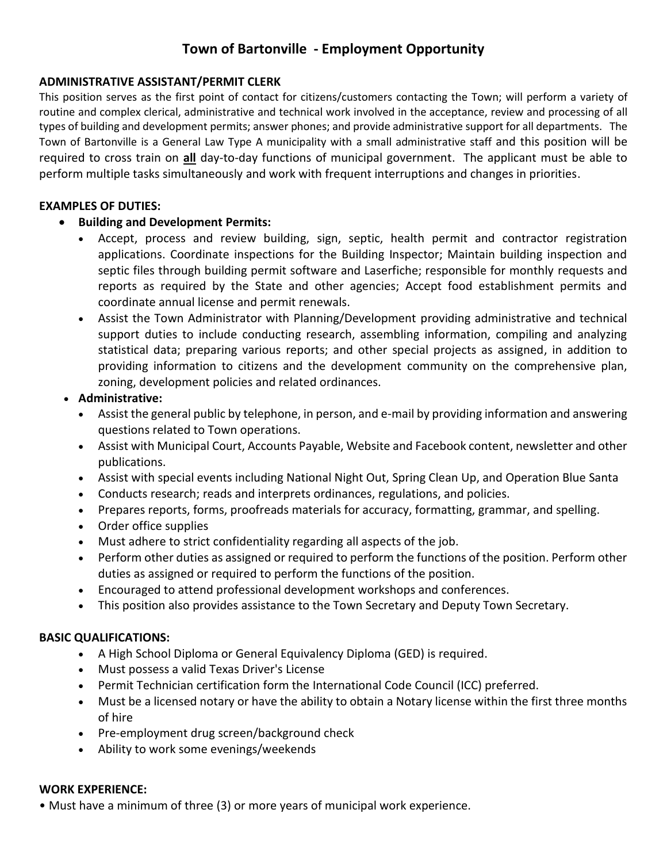# **Town of Bartonville - Employment Opportunity**

## **ADMINISTRATIVE ASSISTANT/PERMIT CLERK**

This position serves as the first point of contact for citizens/customers contacting the Town; will perform a variety of routine and complex clerical, administrative and technical work involved in the acceptance, review and processing of all types of building and development permits; answer phones; and provide administrative support for all departments. The Town of Bartonville is a General Law Type A municipality with a small administrative staff and this position will be required to cross train on **all** day-to-day functions of municipal government. The applicant must be able to perform multiple tasks simultaneously and work with frequent interruptions and changes in priorities.

#### **EXAMPLES OF DUTIES:**

### • **Building and Development Permits:**

- Accept, process and review building, sign, septic, health permit and contractor registration applications. Coordinate inspections for the Building Inspector; Maintain building inspection and septic files through building permit software and Laserfiche; responsible for monthly requests and reports as required by the State and other agencies; Accept food establishment permits and coordinate annual license and permit renewals.
- Assist the Town Administrator with Planning/Development providing administrative and technical support duties to include conducting research, assembling information, compiling and analyzing statistical data; preparing various reports; and other special projects as assigned, in addition to providing information to citizens and the development community on the comprehensive plan, zoning, development policies and related ordinances.
- **Administrative:**
	- Assist the general public by telephone, in person, and e-mail by providing information and answering questions related to Town operations.
	- Assist with Municipal Court, Accounts Payable, Website and Facebook content, newsletter and other publications.
	- Assist with special events including National Night Out, Spring Clean Up, and Operation Blue Santa
	- Conducts research; reads and interprets ordinances, regulations, and policies.
	- Prepares reports, forms, proofreads materials for accuracy, formatting, grammar, and spelling.
	- Order office supplies
	- Must adhere to strict confidentiality regarding all aspects of the job.
	- Perform other duties as assigned or required to perform the functions of the position. Perform other duties as assigned or required to perform the functions of the position.
	- Encouraged to attend professional development workshops and conferences.
	- This position also provides assistance to the Town Secretary and Deputy Town Secretary.

#### **BASIC QUALIFICATIONS:**

- A High School Diploma or General Equivalency Diploma (GED) is required.
- Must possess a valid Texas Driver's License
- Permit Technician certification form the International Code Council (ICC) preferred.
- Must be a licensed notary or have the ability to obtain a Notary license within the first three months of hire
- Pre-employment drug screen/background check
- Ability to work some evenings/weekends

#### **WORK EXPERIENCE:**

• Must have a minimum of three (3) or more years of municipal work experience.